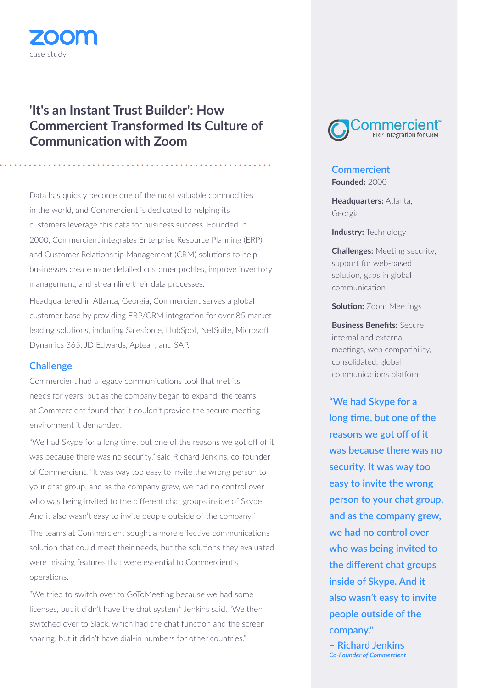# case study

# **'It's an Instant Trust Builder': How Commercient Transformed Its Culture of Communication with Zoom**

Data has quickly become one of the most valuable commodities in the world, and Commercient is dedicated to helping its customers leverage this data for business success. Founded in 2000, Commercient integrates Enterprise Resource Planning (ERP) and Customer Relationship Management (CRM) solutions to help businesses create more detailed customer profiles, improve inventory management, and streamline their data processes.

Headquartered in Atlanta, Georgia, Commercient serves a global customer base by providing ERP/CRM integration for over 85 marketleading solutions, including Salesforce, HubSpot, NetSuite, Microsoft Dynamics 365, JD Edwards, Aptean, and SAP.

## **Challenge**

Commercient had a legacy communications tool that met its needs for years, but as the company began to expand, the teams at Commercient found that it couldn't provide the secure meeting environment it demanded.

"We had Skype for a long time, but one of the reasons we got off of it was because there was no security," said Richard Jenkins, co-founder of Commercient. "It was way too easy to invite the wrong person to your chat group, and as the company grew, we had no control over who was being invited to the different chat groups inside of Skype. And it also wasn't easy to invite people outside of the company."

The teams at Commercient sought a more effective communications solution that could meet their needs, but the solutions they evaluated were missing features that were essential to Commercient's operations.

"We tried to switch over to GoToMeeting because we had some licenses, but it didn't have the chat system," Jenkins said. "We then switched over to Slack, which had the chat function and the screen sharing, but it didn't have dial-in numbers for other countries."



# **Commercient Founded:** 2000

**Headquarters:** Atlanta, Georgia

**Industry:** Technology

**Challenges:** Meeting security, support for web-based solution, gaps in global communication

**Solution:** Zoom Meetings

**Business Benefits:** Secure internal and external meetings, web compatibility, consolidated, global communications platform

**"We had Skype for a long time, but one of the reasons we got off of it was because there was no security. It was way too easy to invite the wrong person to your chat group, and as the company grew, we had no control over who was being invited to the different chat groups inside of Skype. And it also wasn't easy to invite people outside of the company." – Richard Jenkins** *Co-Founder of Commercient*